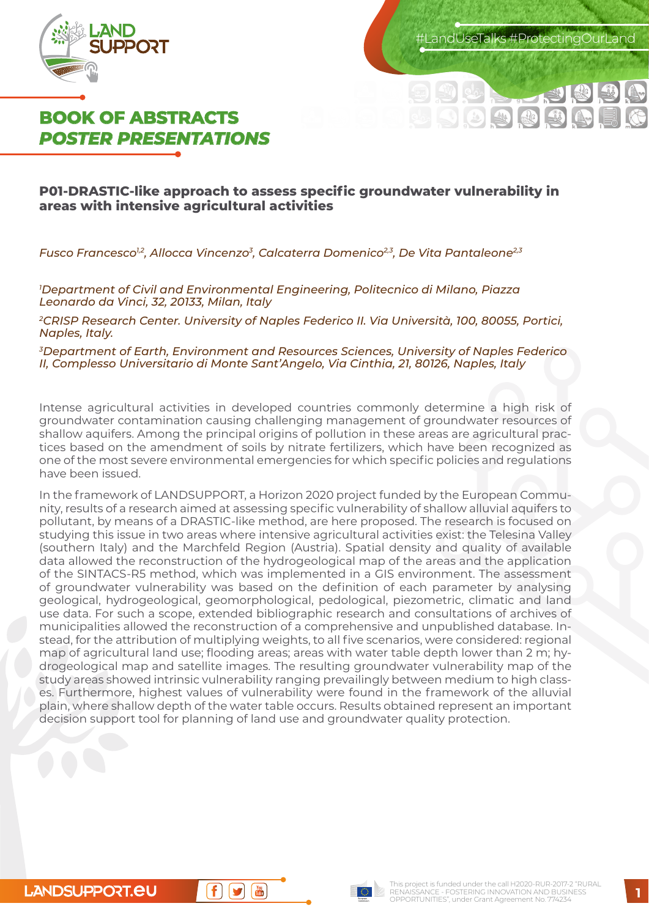

.andUseTalks #ProtectingOurLanc



### **P01-DRASTIC-like approach to assess specific groundwater vulnerability in areas with intensive agricultural activities**

*Fusco Francesco1,2, Allocca Vincenzo3, Calcaterra Domenico2,3, De Vita Pantaleone2,3*

*1 Department of Civil and Environmental Engineering, Politecnico di Milano, Piazza Leonardo da Vinci, 32, 20133, Milan, Italy*

*2CRISP Research Center. University of Naples Federico II. Via Università, 100, 80055, Portici, Naples, Italy.*

*3Department of Earth, Environment and Resources Sciences, University of Naples Federico II, Complesso Universitario di Monte Sant'Angelo, Via Cinthia, 21, 80126, Naples, Italy*

Intense agricultural activities in developed countries commonly determine a high risk of groundwater contamination causing challenging management of groundwater resources of shallow aquifers. Among the principal origins of pollution in these areas are agricultural practices based on the amendment of soils by nitrate fertilizers, which have been recognized as one of the most severe environmental emergencies for which specific policies and regulations have been issued.

In the framework of LANDSUPPORT, a Horizon 2020 project funded by the European Community, results of a research aimed at assessing specific vulnerability of shallow alluvial aquifers to pollutant, by means of a DRASTIC-like method, are here proposed. The research is focused on studying this issue in two areas where intensive agricultural activities exist: the Telesina Valley (southern Italy) and the Marchfeld Region (Austria). Spatial density and quality of available data allowed the reconstruction of the hydrogeological map of the areas and the application of the SINTACS-R5 method, which was implemented in a GIS environment. The assessment of groundwater vulnerability was based on the definition of each parameter by analysing geological, hydrogeological, geomorphological, pedological, piezometric, climatic and land use data. For such a scope, extended bibliographic research and consultations of archives of municipalities allowed the reconstruction of a comprehensive and unpublished database. Instead, for the attribution of multiplying weights, to all five scenarios, were considered: regional map of agricultural land use; flooding areas; areas with water table depth lower than 2 m; hydrogeological map and satellite images. The resulting groundwater vulnerability map of the study areas showed intrinsic vulnerability ranging prevailingly between medium to high classes. Furthermore, highest values of vulnerability were found in the framework of the alluvial plain, where shallow depth of the water table occurs. Results obtained represent an important decision support tool for planning of land use and groundwater quality protection.



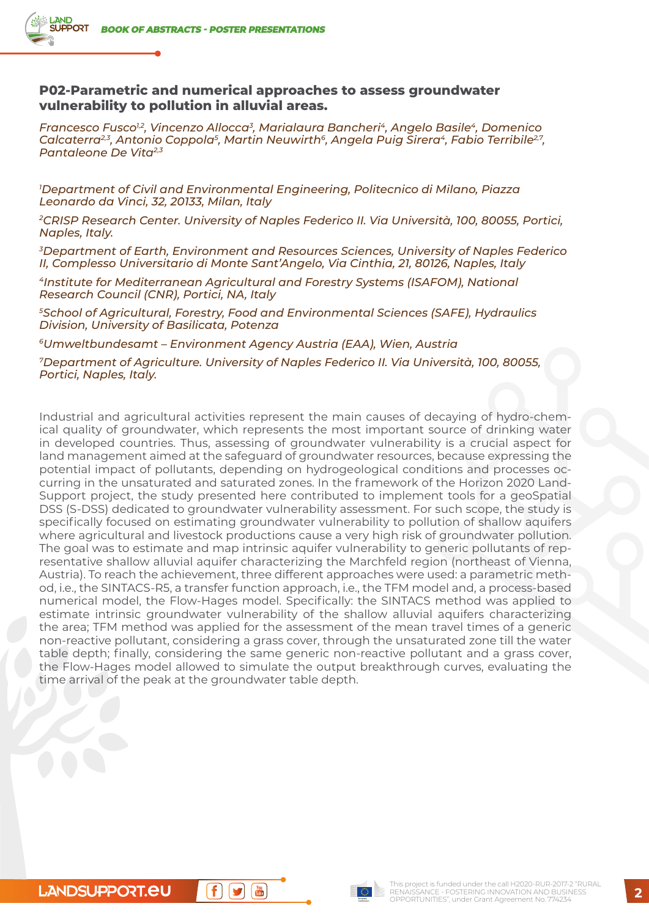### **P02-Parametric and numerical approaches to assess groundwater vulnerability to pollution in alluvial areas.**

*Francesco Fusco1,2, Vincenzo Allocca3, Marialaura Bancheri4, Angelo Basile4, Domenico*  Calcaterra<sup>2,3</sup>, Antonio Coppola<sup>5</sup>, Martin Neuwirth<sup>6</sup>, Angela Puig Sirera<sup>4</sup>, Fabio Terribile<sup>27</sup>, *Pantaleone De Vita2,3*

*1 Department of Civil and Environmental Engineering, Politecnico di Milano, Piazza Leonardo da Vinci, 32, 20133, Milan, Italy*

*2CRISP Research Center. University of Naples Federico II. Via Università, 100, 80055, Portici, Naples, Italy.*

*3Department of Earth, Environment and Resources Sciences, University of Naples Federico II, Complesso Universitario di Monte Sant'Angelo, Via Cinthia, 21, 80126, Naples, Italy*

*4Institute for Mediterranean Agricultural and Forestry Systems (ISAFOM), National Research Council (CNR), Portici, NA, Italy*

*5School of Agricultural, Forestry, Food and Environmental Sciences (SAFE), Hydraulics Division, University of Basilicata, Potenza*

*6Umweltbundesamt – Environment Agency Austria (EAA), Wien, Austria*

*7Department of Agriculture. University of Naples Federico II. Via Università, 100, 80055, Portici, Naples, Italy.*

Industrial and agricultural activities represent the main causes of decaying of hydro-chemical quality of groundwater, which represents the most important source of drinking water in developed countries. Thus, assessing of groundwater vulnerability is a crucial aspect for land management aimed at the safeguard of groundwater resources, because expressing the potential impact of pollutants, depending on hydrogeological conditions and processes occurring in the unsaturated and saturated zones. In the framework of the Horizon 2020 Land-Support project, the study presented here contributed to implement tools for a geoSpatial DSS (S-DSS) dedicated to groundwater vulnerability assessment. For such scope, the study is specifically focused on estimating groundwater vulnerability to pollution of shallow aquifers where agricultural and livestock productions cause a very high risk of groundwater pollution. The goal was to estimate and map intrinsic aquifer vulnerability to generic pollutants of representative shallow alluvial aquifer characterizing the Marchfeld region (northeast of Vienna, Austria). To reach the achievement, three different approaches were used: a parametric method, i.e., the SINTACS-R5, a transfer function approach, i.e., the TFM model and, a process-based numerical model, the Flow-Hages model. Specifically: the SINTACS method was applied to estimate intrinsic groundwater vulnerability of the shallow alluvial aquifers characterizing the area; TFM method was applied for the assessment of the mean travel times of a generic non-reactive pollutant, considering a grass cover, through the unsaturated zone till the water table depth; finally, considering the same generic non-reactive pollutant and a grass cover, the Flow-Hages model allowed to simulate the output breakthrough curves, evaluating the time arrival of the peak at the groundwater table depth.

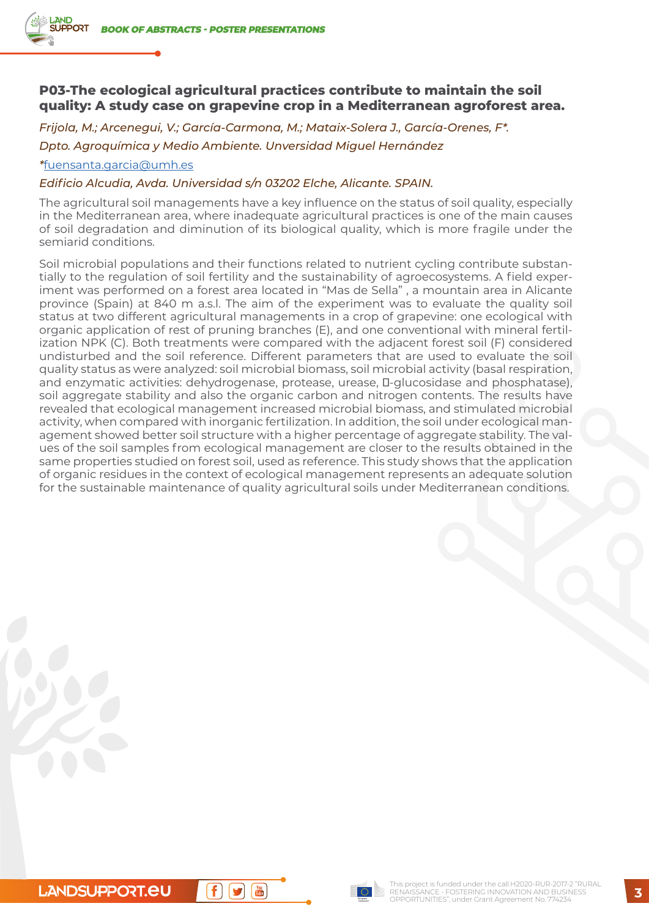## **P03-The ecological agricultural practices contribute to maintain the soil quality: A study case on grapevine crop in a Mediterranean agroforest area.**

*Frijola, M.; Arcenegui, V.; García-Carmona, M.; Mataix-Solera J., García-Orenes, F\*. Dpto. Agroquímica y Medio Ambiente. Unversidad Miguel Hernández*

*\**fuensanta.garcia@umh.es

### *Edificio Alcudia, Avda. Universidad s/n 03202 Elche, Alicante. SPAIN.*

The agricultural soil managements have a key influence on the status of soil quality, especially in the Mediterranean area, where inadequate agricultural practices is one of the main causes of soil degradation and diminution of its biological quality, which is more fragile under the semiarid conditions.

Soil microbial populations and their functions related to nutrient cycling contribute substantially to the regulation of soil fertility and the sustainability of agroecosystems. A field experiment was performed on a forest area located in "Mas de Sella" , a mountain area in Alicante province (Spain) at 840 m a.s.l. The aim of the experiment was to evaluate the quality soil status at two different agricultural managements in a crop of grapevine: one ecological with organic application of rest of pruning branches (E), and one conventional with mineral fertilization NPK (C). Both treatments were compared with the adjacent forest soil (F) considered undisturbed and the soil reference. Different parameters that are used to evaluate the soil quality status as were analyzed: soil microbial biomass, soil microbial activity (basal respiration, and enzymatic activities: dehydrogenase, protease, urease, -glucosidase and phosphatase), soil aggregate stability and also the organic carbon and nitrogen contents. The results have revealed that ecological management increased microbial biomass, and stimulated microbial activity, when compared with inorganic fertilization. In addition, the soil under ecological management showed better soil structure with a higher percentage of aggregate stability. The values of the soil samples from ecological management are closer to the results obtained in the same properties studied on forest soil, used as reference. This study shows that the application of organic residues in the context of ecological management represents an adequate solution for the sustainable maintenance of quality agricultural soils under Mediterranean conditions.

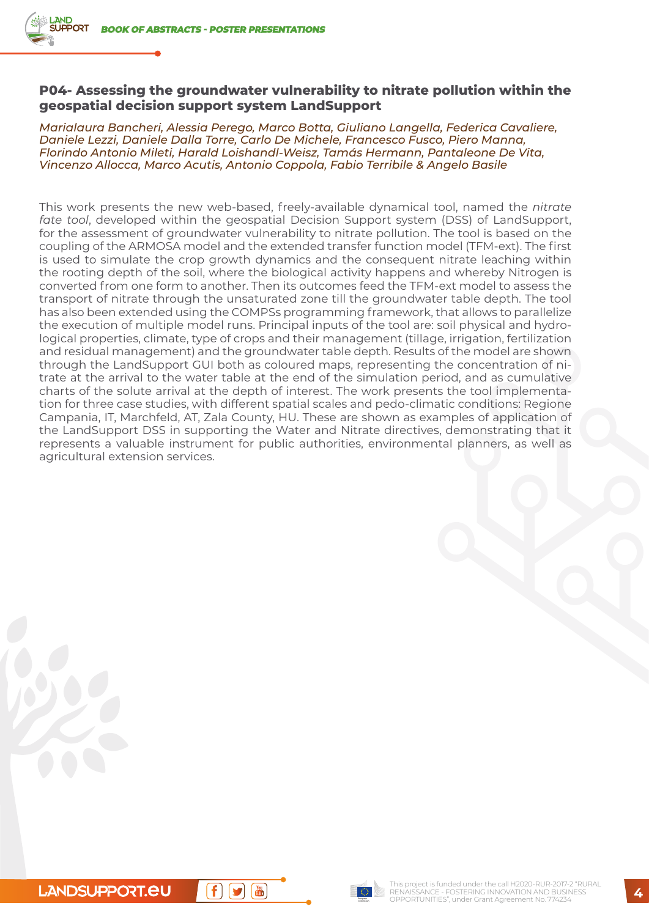### **P04- Assessing the groundwater vulnerability to nitrate pollution within the geospatial decision support system LandSupport**

*Marialaura Bancheri, Alessia Perego, Marco Botta, Giuliano Langella, Federica Cavaliere, Daniele Lezzi, Daniele Dalla Torre, Carlo De Michele, Francesco Fusco, Piero Manna, Florindo Antonio Mileti, Harald Loishandl-Weisz, Tamás Hermann, Pantaleone De Vita, Vincenzo Allocca, Marco Acutis, Antonio Coppola, Fabio Terribile & Angelo Basile*

This work presents the new web-based, freely-available dynamical tool, named the *nitrate fate tool*, developed within the geospatial Decision Support system (DSS) of LandSupport, for the assessment of groundwater vulnerability to nitrate pollution. The tool is based on the coupling of the ARMOSA model and the extended transfer function model (TFM-ext). The first is used to simulate the crop growth dynamics and the consequent nitrate leaching within the rooting depth of the soil, where the biological activity happens and whereby Nitrogen is converted from one form to another. Then its outcomes feed the TFM-ext model to assess the transport of nitrate through the unsaturated zone till the groundwater table depth. The tool has also been extended using the COMPSs programming framework, that allows to parallelize the execution of multiple model runs. Principal inputs of the tool are: soil physical and hydrological properties, climate, type of crops and their management (tillage, irrigation, fertilization and residual management) and the groundwater table depth. Results of the model are shown through the LandSupport GUI both as coloured maps, representing the concentration of nitrate at the arrival to the water table at the end of the simulation period, and as cumulative charts of the solute arrival at the depth of interest. The work presents the tool implementation for three case studies, with different spatial scales and pedo-climatic conditions: Regione Campania, IT, Marchfeld, AT, Zala County, HU. These are shown as examples of application of the LandSupport DSS in supporting the Water and Nitrate directives, demonstrating that it represents a valuable instrument for public authorities, environmental planners, as well as agricultural extension services.

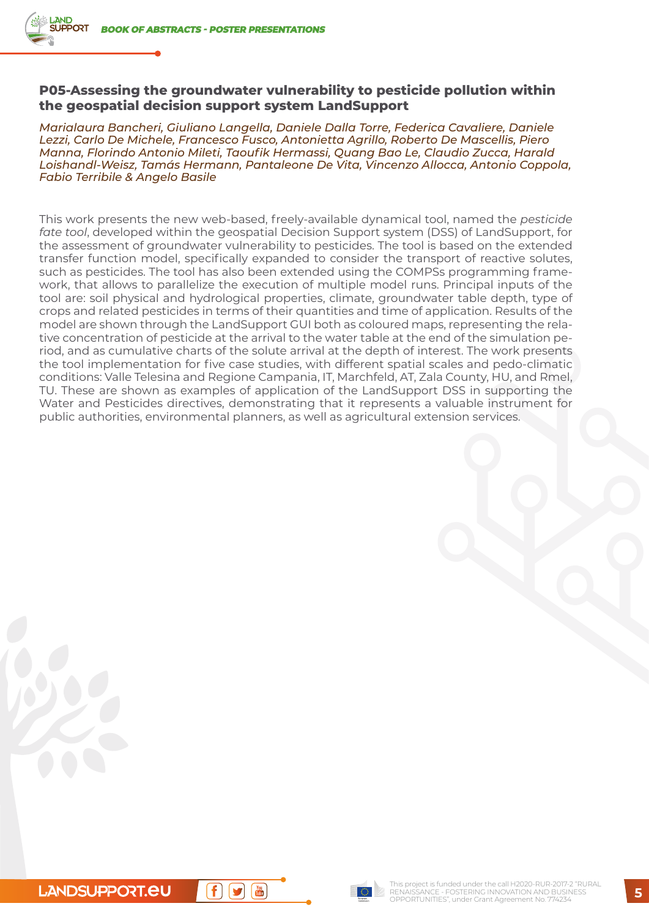### **P05-Assessing the groundwater vulnerability to pesticide pollution within the geospatial decision support system LandSupport**

*Marialaura Bancheri, Giuliano Langella, Daniele Dalla Torre, Federica Cavaliere, Daniele Lezzi, Carlo De Michele, Francesco Fusco, Antonietta Agrillo, Roberto De Mascellis, Piero Manna, Florindo Antonio Mileti, Taoufik Hermassi, Quang Bao Le, Claudio Zucca, Harald Loishandl-Weisz, Tamás Hermann, Pantaleone De Vita, Vincenzo Allocca, Antonio Coppola, Fabio Terribile & Angelo Basile*

This work presents the new web-based, freely-available dynamical tool, named the *pesticide fate tool*, developed within the geospatial Decision Support system (DSS) of LandSupport, for the assessment of groundwater vulnerability to pesticides. The tool is based on the extended transfer function model, specifically expanded to consider the transport of reactive solutes, such as pesticides. The tool has also been extended using the COMPSs programming framework, that allows to parallelize the execution of multiple model runs. Principal inputs of the tool are: soil physical and hydrological properties, climate, groundwater table depth, type of crops and related pesticides in terms of their quantities and time of application. Results of the model are shown through the LandSupport GUI both as coloured maps, representing the relative concentration of pesticide at the arrival to the water table at the end of the simulation period, and as cumulative charts of the solute arrival at the depth of interest. The work presents the tool implementation for five case studies, with different spatial scales and pedo-climatic conditions: Valle Telesina and Regione Campania, IT, Marchfeld, AT, Zala County, HU, and Rmel, TU. These are shown as examples of application of the LandSupport DSS in supporting the Water and Pesticides directives, demonstrating that it represents a valuable instrument for public authorities, environmental planners, as well as agricultural extension services.

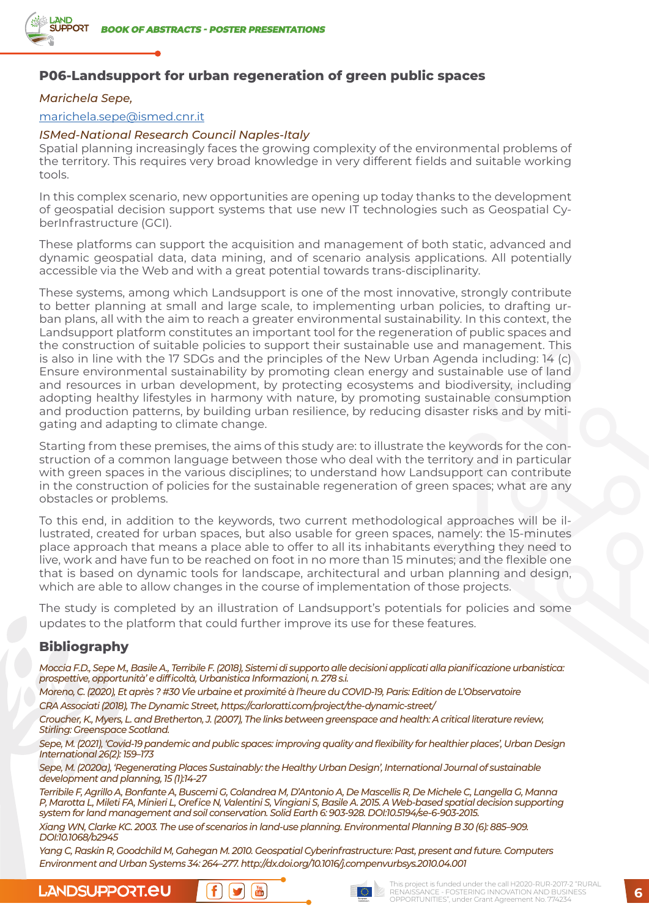

# **P06-Landsupport for urban regeneration of green public spaces**

#### *Marichela Sepe,*

### marichela.sepe@ismed.cnr.it

#### *ISMed-National Research Council Naples-Italy*

Spatial planning increasingly faces the growing complexity of the environmental problems of the territory. This requires very broad knowledge in very different fields and suitable working tools.

In this complex scenario, new opportunities are opening up today thanks to the development of geospatial decision support systems that use new IT technologies such as Geospatial CyberInfrastructure (GCI).

These platforms can support the acquisition and management of both static, advanced and dynamic geospatial data, data mining, and of scenario analysis applications. All potentially accessible via the Web and with a great potential towards trans-disciplinarity.

These systems, among which Landsupport is one of the most innovative, strongly contribute to better planning at small and large scale, to implementing urban policies, to drafting urban plans, all with the aim to reach a greater environmental sustainability. In this context, the Landsupport platform constitutes an important tool for the regeneration of public spaces and the construction of suitable policies to support their sustainable use and management. This is also in line with the 17 SDGs and the principles of the New Urban Agenda including: 14 (c) Ensure environmental sustainability by promoting clean energy and sustainable use of land and resources in urban development, by protecting ecosystems and biodiversity, including adopting healthy lifestyles in harmony with nature, by promoting sustainable consumption and production patterns, by building urban resilience, by reducing disaster risks and by mitigating and adapting to climate change.

Starting from these premises, the aims of this study are: to illustrate the keywords for the construction of a common language between those who deal with the territory and in particular with green spaces in the various disciplines; to understand how Landsupport can contribute in the construction of policies for the sustainable regeneration of green spaces; what are any obstacles or problems.

To this end, in addition to the keywords, two current methodological approaches will be illustrated, created for urban spaces, but also usable for green spaces, namely: the 15-minutes place approach that means a place able to offer to all its inhabitants everything they need to live, work and have fun to be reached on foot in no more than 15 minutes; and the flexible one that is based on dynamic tools for landscape, architectural and urban planning and design, which are able to allow changes in the course of implementation of those projects.

The study is completed by an illustration of Landsupport's potentials for policies and some updates to the platform that could further improve its use for these features.

### **Bibliography**

*Moccia F.D., Sepe M., Basile A., Terribile F. (2018), Sistemi di supporto alle decisioni applicati alla pianificazione urbanistica: prospettive, opportunità' e difficoltà, Urbanistica Informazioni, n. 278 s.i.*

*Moreno, C. (2020), Et après ? #30 Vie urbaine et proximité à l'heure du COVID-19, Paris: Edition de L'Observatoire CRA Associati (2018), The Dynamic Street, https://carloratti.com/project/the-dynamic-street/*

*Croucher, K., Myers, L. and Bretherton, J. (2007), The links between greenspace and health: A critical literature review, Stirling: Greenspace Scotland.*

*Sepe, M. (2021), 'Covid-19 pandemic and public spaces: improving quality and flexibility for healthier places', Urban Design International 26(2): 159–173*

*Sepe, M. (2020a), 'Regenerating Places Sustainably: the Healthy Urban Design', International Journal of sustainable development and planning, 15 (1):14-27*

*Terribile F, Agrillo A, Bonfante A, Buscemi G, Colandrea M, D'Antonio A, De Mascellis R, De Michele C, Langella G, Manna P, Marotta L, Mileti FA, Minieri L, Orefice N, Valentini S, Vingiani S, Basile A. 2015. A Web-based spatial decision supporting system for land management and soil conservation. Solid Earth 6: 903-928. DOI:10.5194/se-6-903-2015.*

*Xiang WN, Clarke KC. 2003. The use of scenarios in land-use planning. Environmental Planning B 30 (6): 885–909. DOI:10.1068/b2945*

*Yang C, Raskin R, Goodchild M, Gahegan M. 2010. Geospatial Cyberinfrastructure: Past, present and future. Computers Environment and Urban Systems 34: 264–277. http://dx.doi.org/10.1016/j.compenvurbsys.2010.04.001*







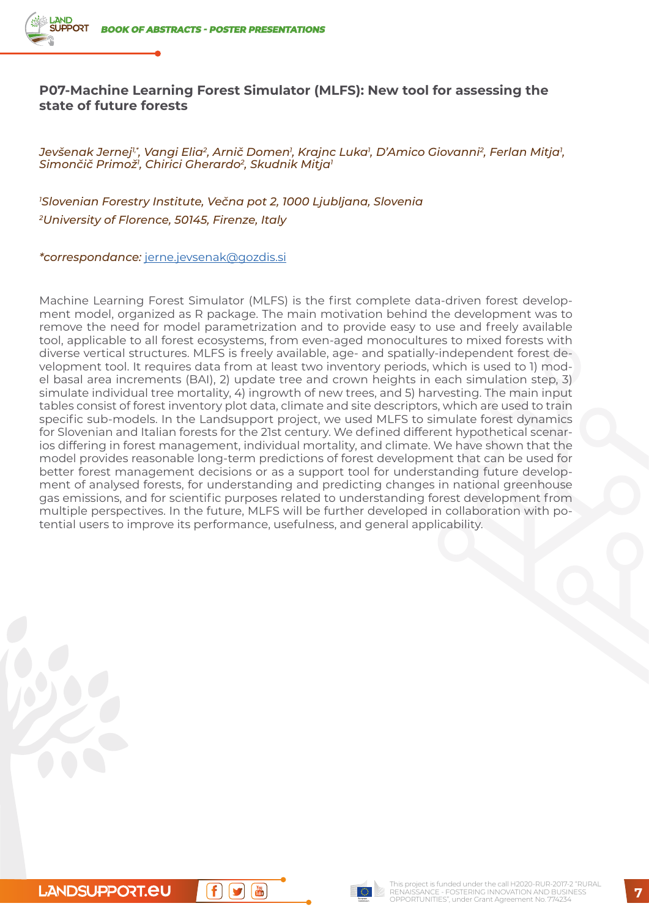# **P07-Machine Learning Forest Simulator (MLFS): New tool for assessing the state of future forests**

Jevšenak Jernej<sup>1</sup>\*, Vangi Elia<sup>2</sup>, Arnič Domen<sup>1</sup>, Krajnc Luka<sup>1</sup>, D'Amico Giovanni<sup>2</sup>, Ferlan Mitja<sup>1</sup>, *Simončič Primož1 , Chirici Gherardo2, Skudnik Mitja1*

*1 Slovenian Forestry Institute, Večna pot 2, 1000 Ljubljana, Slovenia 2University of Florence, 50145, Firenze, Italy*

*\*correspondance:* [jerne.jevsenak@gozdis.si](mailto:jerne.jevsenak@gozdis.si)

Machine Learning Forest Simulator (MLFS) is the first complete data-driven forest development model, organized as R package. The main motivation behind the development was to remove the need for model parametrization and to provide easy to use and freely available tool, applicable to all forest ecosystems, from even-aged monocultures to mixed forests with diverse vertical structures. MLFS is freely available, age- and spatially-independent forest development tool. It requires data from at least two inventory periods, which is used to 1) model basal area increments (BAI), 2) update tree and crown heights in each simulation step, 3) simulate individual tree mortality, 4) ingrowth of new trees, and 5) harvesting. The main input tables consist of forest inventory plot data, climate and site descriptors, which are used to train specific sub-models. In the Landsupport project, we used MLFS to simulate forest dynamics for Slovenian and Italian forests for the 21st century. We defined different hypothetical scenarios differing in forest management, individual mortality, and climate. We have shown that the model provides reasonable long-term predictions of forest development that can be used for better forest management decisions or as a support tool for understanding future development of analysed forests, for understanding and predicting changes in national greenhouse gas emissions, and for scientific purposes related to understanding forest development from multiple perspectives. In the future, MLFS will be further developed in collaboration with potential users to improve its performance, usefulness, and general applicability.

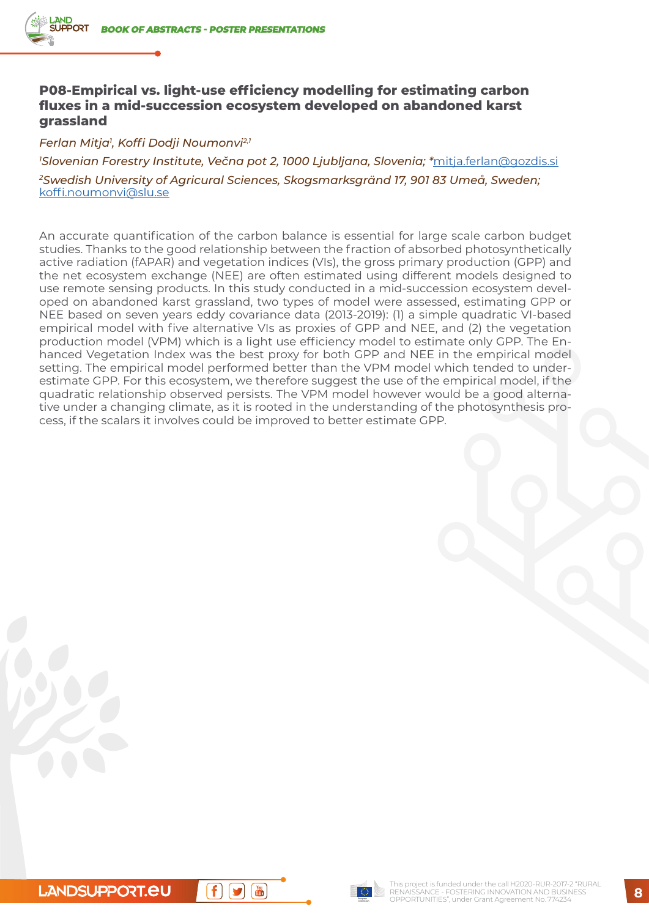## **P08-Empirical vs. light-use efficiency modelling for estimating carbon fluxes in a mid-succession ecosystem developed on abandoned karst grassland**

*Ferlan Mitja1 , Koffi Dodji Noumonvi2,1*

*1 Slovenian Forestry Institute, Večna pot 2, 1000 Ljubljana, Slovenia; \**mitja.ferlan@gozdis.si *2Swedish University of Agricural Sciences, Skogsmarksgränd 17, 901 83 Umeå, Sweden;*  koffi.noumonvi@slu.se

An accurate quantification of the carbon balance is essential for large scale carbon budget studies. Thanks to the good relationship between the fraction of absorbed photosynthetically active radiation (fAPAR) and vegetation indices (VIs), the gross primary production (GPP) and the net ecosystem exchange (NEE) are often estimated using different models designed to use remote sensing products. In this study conducted in a mid-succession ecosystem developed on abandoned karst grassland, two types of model were assessed, estimating GPP or NEE based on seven years eddy covariance data (2013-2019): (1) a simple quadratic VI-based empirical model with five alternative VIs as proxies of GPP and NEE, and (2) the vegetation production model (VPM) which is a light use efficiency model to estimate only GPP. The Enhanced Vegetation Index was the best proxy for both GPP and NEE in the empirical model setting. The empirical model performed better than the VPM model which tended to underestimate GPP. For this ecosystem, we therefore suggest the use of the empirical model, if the quadratic relationship observed persists. The VPM model however would be a good alternative under a changing climate, as it is rooted in the understanding of the photosynthesis process, if the scalars it involves could be improved to better estimate GPP.

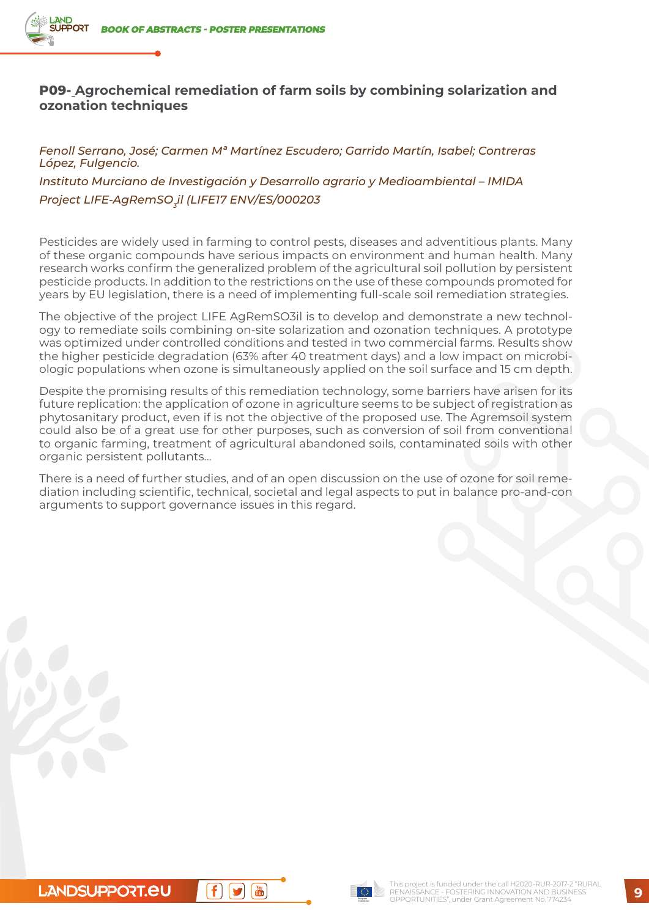# **P09- Agrochemical remediation of farm soils by combining solarization and ozonation techniques**

*Fenoll Serrano, José; Carmen Mª Martínez Escudero; Garrido Martín, Isabel; Contreras López, Fulgencio. Instituto Murciano de Investigación y Desarrollo agrario y Medioambiental – IMIDA* Project LIFE-AgRemSO<sub>z</sub>il (LIFE17 ENV/ES/000203

Pesticides are widely used in farming to control pests, diseases and adventitious plants. Many of these organic compounds have serious impacts on environment and human health. Many research works confirm the generalized problem of the agricultural soil pollution by persistent pesticide products. In addition to the restrictions on the use of these compounds promoted for years by EU legislation, there is a need of implementing full-scale soil remediation strategies.

The objective of the project LIFE AgRemSO3il is to develop and demonstrate a new technology to remediate soils combining on-site solarization and ozonation techniques. A prototype was optimized under controlled conditions and tested in two commercial farms. Results show the higher pesticide degradation (63% after 40 treatment days) and a low impact on microbiologic populations when ozone is simultaneously applied on the soil surface and 15 cm depth.

Despite the promising results of this remediation technology, some barriers have arisen for its future replication: the application of ozone in agriculture seems to be subject of registration as phytosanitary product, even if is not the objective of the proposed use. The Agremsoil system could also be of a great use for other purposes, such as conversion of soil from conventional to organic farming, treatment of agricultural abandoned soils, contaminated soils with other organic persistent pollutants…

There is a need of further studies, and of an open discussion on the use of ozone for soil remediation including scientific, technical, societal and legal aspects to put in balance pro-and-con arguments to support governance issues in this regard.

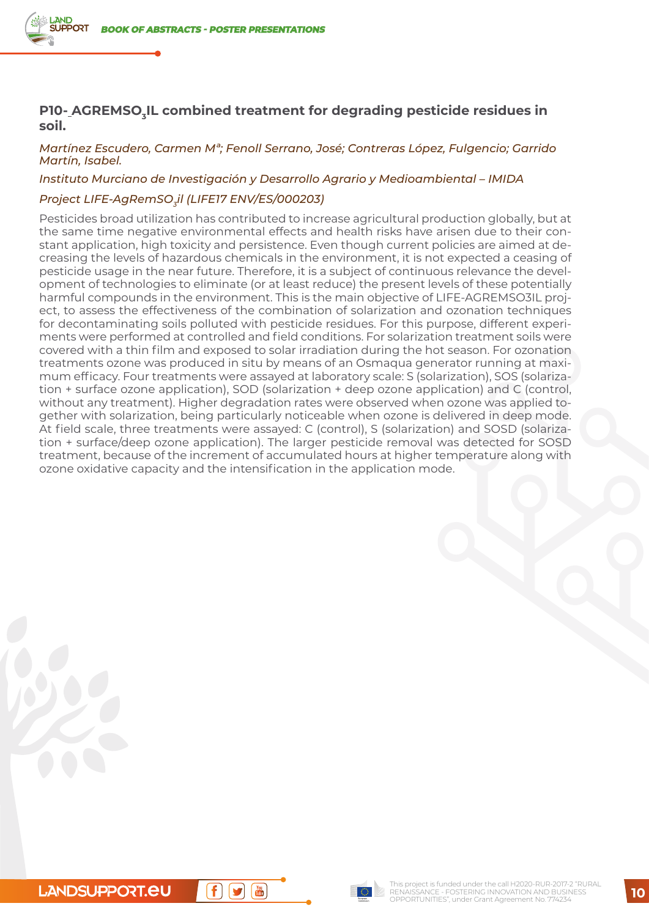## **P10- AGREMSO, IL combined treatment for degrading pesticide residues in soil.**

#### *Martínez Escudero, Carmen Mª; Fenoll Serrano, José; Contreras López, Fulgencio; Garrido Martín, Isabel.*

#### *Instituto Murciano de Investigación y Desarrollo Agrario y Medioambiental – IMIDA*

#### *Project LIFE-AgRemSO3il (LIFE17 ENV/ES/000203)*

Pesticides broad utilization has contributed to increase agricultural production globally, but at the same time negative environmental effects and health risks have arisen due to their constant application, high toxicity and persistence. Even though current policies are aimed at decreasing the levels of hazardous chemicals in the environment, it is not expected a ceasing of pesticide usage in the near future. Therefore, it is a subject of continuous relevance the development of technologies to eliminate (or at least reduce) the present levels of these potentially harmful compounds in the environment. This is the main objective of LIFE-AGREMSO3IL project, to assess the effectiveness of the combination of solarization and ozonation techniques for decontaminating soils polluted with pesticide residues. For this purpose, different experiments were performed at controlled and field conditions. For solarization treatment soils were covered with a thin film and exposed to solar irradiation during the hot season. For ozonation treatments ozone was produced in situ by means of an Osmaqua generator running at maximum efficacy. Four treatments were assayed at laboratory scale: S (solarization), SOS (solarization + surface ozone application), SOD (solarization + deep ozone application) and C (control, without any treatment). Higher degradation rates were observed when ozone was applied together with solarization, being particularly noticeable when ozone is delivered in deep mode. At field scale, three treatments were assayed: C (control), S (solarization) and SOSD (solarization + surface/deep ozone application). The larger pesticide removal was detected for SOSD treatment, because of the increment of accumulated hours at higher temperature along with ozone oxidative capacity and the intensification in the application mode.

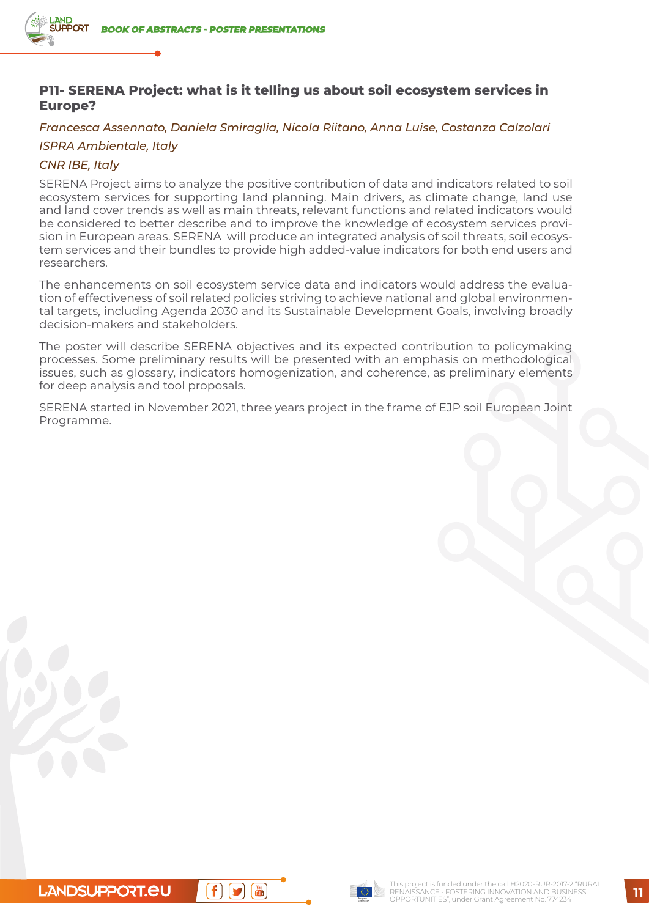# **P11- SERENA Project: what is it telling us about soil ecosystem services in Europe?**

### *Francesca Assennato, Daniela Smiraglia, Nicola Riitano, Anna Luise, Costanza Calzolari*

### *ISPRA Ambientale, Italy*

### *CNR IBE, Italy*

SERENA Project aims to analyze the positive contribution of data and indicators related to soil ecosystem services for supporting land planning. Main drivers, as climate change, land use and land cover trends as well as main threats, relevant functions and related indicators would be considered to better describe and to improve the knowledge of ecosystem services provision in European areas. SERENA will produce an integrated analysis of soil threats, soil ecosystem services and their bundles to provide high added-value indicators for both end users and researchers.

The enhancements on soil ecosystem service data and indicators would address the evaluation of effectiveness of soil related policies striving to achieve national and global environmental targets, including Agenda 2030 and its Sustainable Development Goals, involving broadly decision-makers and stakeholders.

The poster will describe SERENA objectives and its expected contribution to policymaking processes. Some preliminary results will be presented with an emphasis on methodological issues, such as glossary, indicators homogenization, and coherence, as preliminary elements for deep analysis and tool proposals.

SERENA started in November 2021, three years project in the frame of EJP soil European Joint Programme.

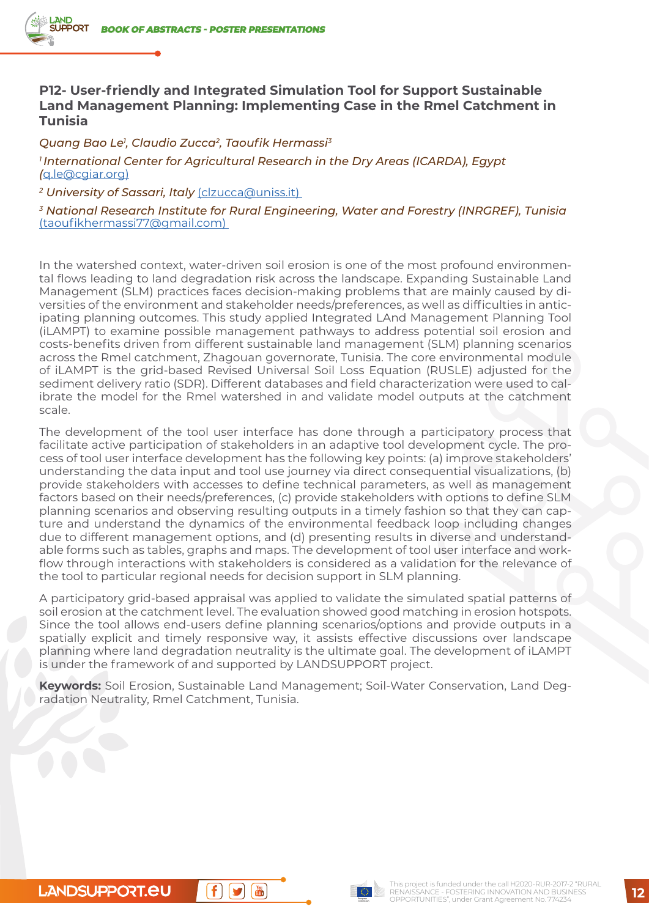# **P12- User-friendly and Integrated Simulation Tool for Support Sustainable Land Management Planning: Implementing Case in the Rmel Catchment in Tunisia**

*Quang Bao Le1 , Claudio Zucca2, Taoufik Hermassi3*

*1 International Center for Agricultural Research in the Dry Areas (ICARDA), Egypt (*[q.le@cgiar.org\)](mailto:q.le@cgiar.org)

*2 University of Sassari, Italy* ([clzucca@uniss.it](mailto:clzucca@uniss.it))

*3 National Research Institute for Rural Engineering, Water and Forestry (INRGREF), Tunisia*  [\(taoufikhermassi77@gmail.com\)](mailto:taoufikhermassi77@gmail.com)

In the watershed context, water-driven soil erosion is one of the most profound environmental flows leading to land degradation risk across the landscape. Expanding Sustainable Land Management (SLM) practices faces decision-making problems that are mainly caused by diversities of the environment and stakeholder needs/preferences, as well as difficulties in anticipating planning outcomes. This study applied Integrated LAnd Management Planning Tool (iLAMPT) to examine possible management pathways to address potential soil erosion and costs-benefits driven from different sustainable land management (SLM) planning scenarios across the Rmel catchment, Zhagouan governorate, Tunisia. The core environmental module of iLAMPT is the grid-based Revised Universal Soil Loss Equation (RUSLE) adjusted for the sediment delivery ratio (SDR). Different databases and field characterization were used to calibrate the model for the Rmel watershed in and validate model outputs at the catchment scale.

The development of the tool user interface has done through a participatory process that facilitate active participation of stakeholders in an adaptive tool development cycle. The process of tool user interface development has the following key points: (a) improve stakeholders' understanding the data input and tool use journey via direct consequential visualizations, (b) provide stakeholders with accesses to define technical parameters, as well as management factors based on their needs/preferences, (c) provide stakeholders with options to define SLM planning scenarios and observing resulting outputs in a timely fashion so that they can capture and understand the dynamics of the environmental feedback loop including changes due to different management options, and (d) presenting results in diverse and understandable forms such as tables, graphs and maps. The development of tool user interface and workflow through interactions with stakeholders is considered as a validation for the relevance of the tool to particular regional needs for decision support in SLM planning.

A participatory grid-based appraisal was applied to validate the simulated spatial patterns of soil erosion at the catchment level. The evaluation showed good matching in erosion hotspots. Since the tool allows end-users define planning scenarios/options and provide outputs in a spatially explicit and timely responsive way, it assists effective discussions over landscape planning where land degradation neutrality is the ultimate goal. The development of iLAMPT is under the framework of and supported by LANDSUPPORT project.

**Keywords:** Soil Erosion, Sustainable Land Management; Soil-Water Conservation, Land Degradation Neutrality, Rmel Catchment, Tunisia.



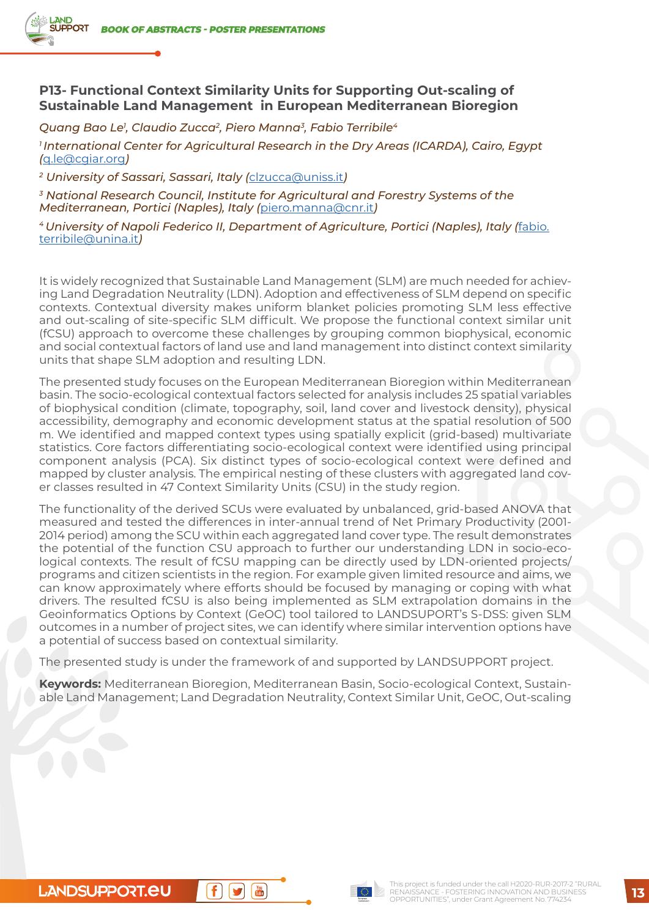## **P13- Functional Context Similarity Units for Supporting Out-scaling of Sustainable Land Management in European Mediterranean Bioregion**

*Quang Bao Le1 , Claudio Zucca2, Piero Manna3, Fabio Terribile4*

*1 International Center for Agricultural Research in the Dry Areas (ICARDA), Cairo, Egypt (*[q.le@cgiar.org](mailto:q.le@cgiar.org)*)* 

*2 University of Sassari, Sassari, Italy (*[clzucca@uniss.it](mailto:clzucca@uniss.it)*)* 

*3 National Research Council, Institute for Agricultural and Forestry Systems of the Mediterranean, Portici (Naples), Italy (*[piero.manna@cnr.it](mailto:piero.manna@cnr.it)*)* 

*4 University of Napoli Federico II, Department of Agriculture, Portici (Naples), Italy (*[fabio.](mailto:fabio.terribile@unina.it) [terribile@unina.it](mailto:fabio.terribile@unina.it)*)* 

It is widely recognized that Sustainable Land Management (SLM) are much needed for achieving Land Degradation Neutrality (LDN). Adoption and effectiveness of SLM depend on specific contexts. Contextual diversity makes uniform blanket policies promoting SLM less effective and out-scaling of site-specific SLM difficult. We propose the functional context similar unit (fCSU) approach to overcome these challenges by grouping common biophysical, economic and social contextual factors of land use and land management into distinct context similarity units that shape SLM adoption and resulting LDN.

The presented study focuses on the European Mediterranean Bioregion within Mediterranean basin. The socio-ecological contextual factors selected for analysis includes 25 spatial variables of biophysical condition (climate, topography, soil, land cover and livestock density), physical accessibility, demography and economic development status at the spatial resolution of 500 m. We identified and mapped context types using spatially explicit (grid-based) multivariate statistics. Core factors differentiating socio-ecological context were identified using principal component analysis (PCA). Six distinct types of socio-ecological context were defined and mapped by cluster analysis. The empirical nesting of these clusters with aggregated land cover classes resulted in 47 Context Similarity Units (CSU) in the study region.

The functionality of the derived SCUs were evaluated by unbalanced, grid-based ANOVA that measured and tested the differences in inter-annual trend of Net Primary Productivity (2001- 2014 period) among the SCU within each aggregated land cover type. The result demonstrates the potential of the function CSU approach to further our understanding LDN in socio-ecological contexts. The result of fCSU mapping can be directly used by LDN-oriented projects/ programs and citizen scientists in the region. For example given limited resource and aims, we can know approximately where efforts should be focused by managing or coping with what drivers. The resulted fCSU is also being implemented as SLM extrapolation domains in the Geoinformatics Options by Context (GeOC) tool tailored to LANDSUPORT's S-DSS: given SLM outcomes in a number of project sites, we can identify where similar intervention options have a potential of success based on contextual similarity.

The presented study is under the framework of and supported by LANDSUPPORT project.

**Keywords:** Mediterranean Bioregion, Mediterranean Basin, Socio-ecological Context, Sustainable Land Management; Land Degradation Neutrality, Context Similar Unit, GeOC, Out-scaling

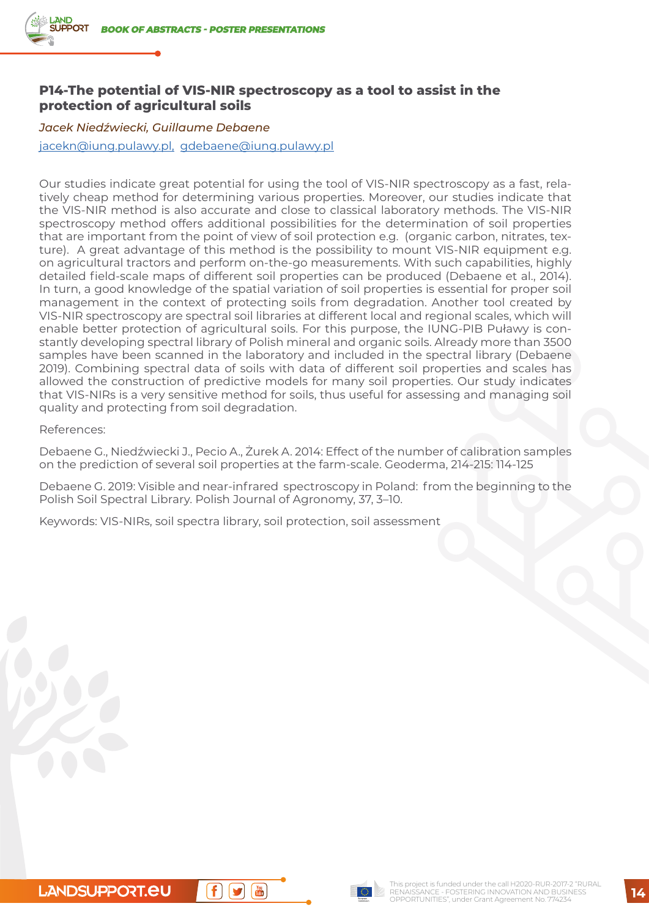## **P14-The potential of VIS-NIR spectroscopy as a tool to assist in the protection of agricultural soils**

### *Jacek Niedźwiecki, Guillaume Debaene*

[jacekn@iung.pulawy.pl,](mailto:jacekn@iung.pulawy.pl) [gdebaene@iung.pulawy.pl](mailto:gdebaene@iung.pulawy.pl)

Our studies indicate great potential for using the tool of VIS-NIR spectroscopy as a fast, relatively cheap method for determining various properties. Moreover, our studies indicate that the VIS-NIR method is also accurate and close to classical laboratory methods. The VIS-NIR spectroscopy method offers additional possibilities for the determination of soil properties that are important from the point of view of soil protection e.g. (organic carbon, nitrates, texture). A great advantage of this method is the possibility to mount VIS-NIR equipment e.g. on agricultural tractors and perform on-the-go measurements. With such capabilities, highly detailed field-scale maps of different soil properties can be produced (Debaene et al., 2014). In turn, a good knowledge of the spatial variation of soil properties is essential for proper soil management in the context of protecting soils from degradation. Another tool created by VIS-NIR spectroscopy are spectral soil libraries at different local and regional scales, which will enable better protection of agricultural soils. For this purpose, the IUNG-PIB Puławy is constantly developing spectral library of Polish mineral and organic soils. Already more than 3500 samples have been scanned in the laboratory and included in the spectral library (Debaene 2019). Combining spectral data of soils with data of different soil properties and scales has allowed the construction of predictive models for many soil properties. Our study indicates that VIS-NIRs is a very sensitive method for soils, thus useful for assessing and managing soil quality and protecting from soil degradation.

References:

Debaene G., Niedźwiecki J., Pecio A., Żurek A. 2014: Effect of the number of calibration samples on the prediction of several soil properties at the farm-scale. Geoderma, 214-215: 114-125

Debaene G. 2019: Visible and near-infrared spectroscopy in Poland: from the beginning to the Polish Soil Spectral Library. Polish Journal of Agronomy, 37, 3–10.

Keywords: VIS-NIRs, soil spectra library, soil protection, soil assessment

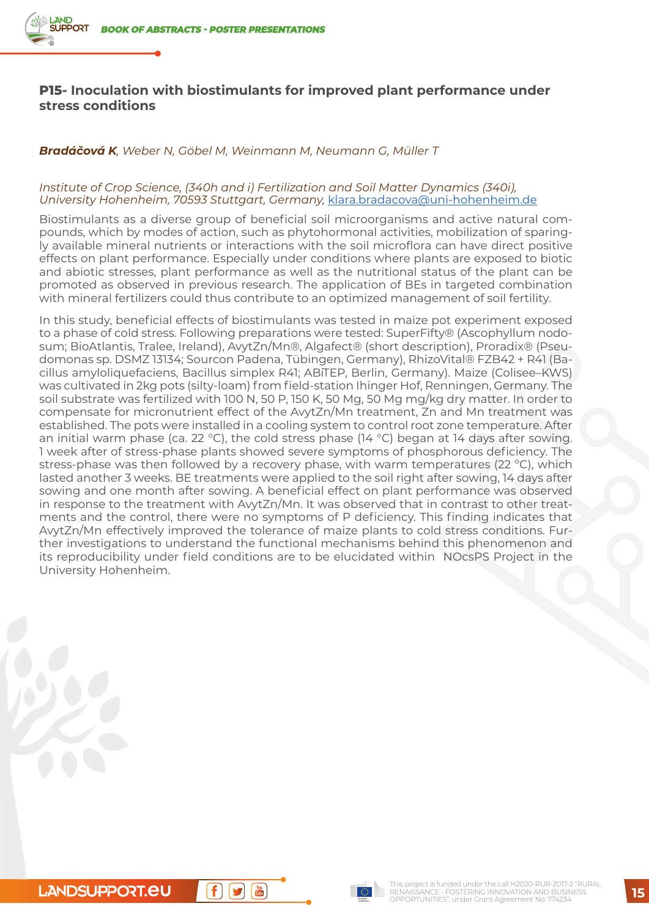## **P15- Inoculation with biostimulants for improved plant performance under stress conditions**

### *Bradáčová K, Weber N, Göbel M, Weinmann M, Neumann G, Müller T*

#### *Institute of Crop Science, (340h and i) Fertilization and Soil Matter Dynamics (340i), University Hohenheim, 70593 Stuttgart, Germany,* [klara.bradacova@uni-hohenheim.de](mailto:klara.bradacova@uni-hohenheim.de)

Biostimulants as a diverse group of beneficial soil microorganisms and active natural compounds, which by modes of action, such as phytohormonal activities, mobilization of sparingly available mineral nutrients or interactions with the soil microflora can have direct positive effects on plant performance. Especially under conditions where plants are exposed to biotic and abiotic stresses, plant performance as well as the nutritional status of the plant can be promoted as observed in previous research. The application of BEs in targeted combination with mineral fertilizers could thus contribute to an optimized management of soil fertility.

In this study, beneficial effects of biostimulants was tested in maize pot experiment exposed to a phase of cold stress. Following preparations were tested: SuperFifty® (Ascophyllum nodosum; BioAtlantis, Tralee, Ireland), AvytZn/Mn®, Algafect® (short description), Proradix® (Pseudomonas sp. DSMZ 13134; Sourcon Padena, Tübingen, Germany), RhizoVital® FZB42 + R41 (Bacillus amyloliquefaciens, Bacillus simplex R41; ABiTEP, Berlin, Germany). Maize (Colisee–KWS) was cultivated in 2kg pots (silty-loam) from field-station Ihinger Hof, Renningen, Germany. The soil substrate was fertilized with 100 N, 50 P, 150 K, 50 Mg, 50 Mg mg/kg dry matter. In order to compensate for micronutrient effect of the AvytZn/Mn treatment, Zn and Mn treatment was established. The pots were installed in a cooling system to control root zone temperature. After an initial warm phase (ca. 22 °C), the cold stress phase (14 °C) began at 14 days after sowing. 1 week after of stress-phase plants showed severe symptoms of phosphorous deficiency. The stress-phase was then followed by a recovery phase, with warm temperatures (22 ºC), which lasted another 3 weeks. BE treatments were applied to the soil right after sowing, 14 days after sowing and one month after sowing. A beneficial effect on plant performance was observed in response to the treatment with AvytZn/Mn. It was observed that in contrast to other treatments and the control, there were no symptoms of P deficiency. This finding indicates that AvytZn/Mn effectively improved the tolerance of maize plants to cold stress conditions. Further investigations to understand the functional mechanisms behind this phenomenon and its reproducibility under field conditions are to be elucidated within NOcsPS Project in the University Hohenheim.

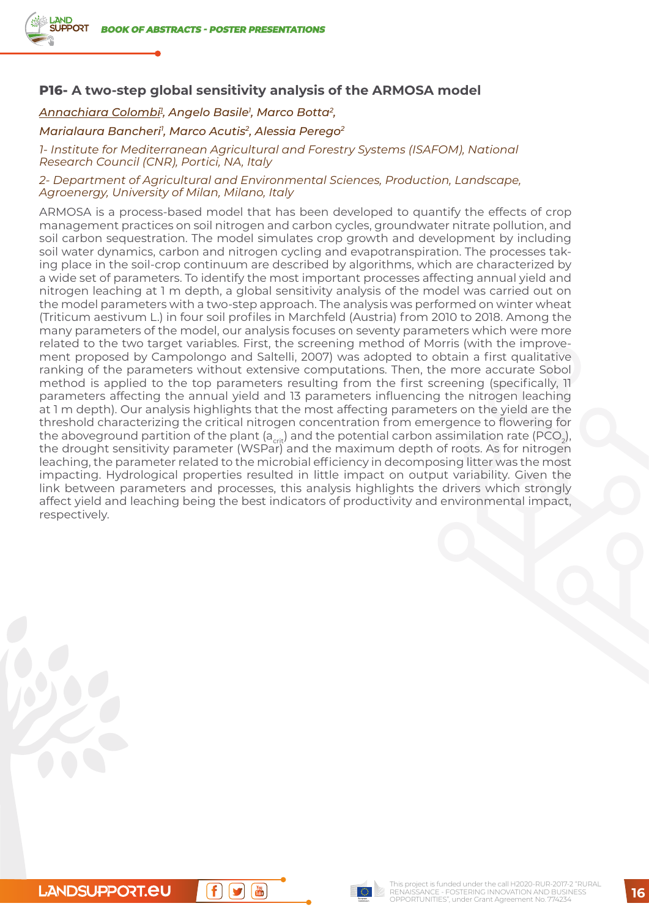# **P16- A two-step global sensitivity analysis of the ARMOSA model**

*Annachiara Colombi1 , Angelo Basile1 , Marco Botta2,*

### *Marialaura Bancheri1 , Marco Acutis2, Alessia Perego2*

*1- Institute for Mediterranean Agricultural and Forestry Systems (ISAFOM), National Research Council (CNR), Portici, NA, Italy*

#### *2- Department of Agricultural and Environmental Sciences, Production, Landscape, Agroenergy, University of Milan, Milano, Italy*

ARMOSA is a process-based model that has been developed to quantify the effects of crop management practices on soil nitrogen and carbon cycles, groundwater nitrate pollution, and soil carbon sequestration. The model simulates crop growth and development by including soil water dynamics, carbon and nitrogen cycling and evapotranspiration. The processes taking place in the soil-crop continuum are described by algorithms, which are characterized by a wide set of parameters. To identify the most important processes affecting annual yield and nitrogen leaching at 1 m depth, a global sensitivity analysis of the model was carried out on the model parameters with a two-step approach. The analysis was performed on winter wheat (Triticum aestivum L.) in four soil profiles in Marchfeld (Austria) from 2010 to 2018. Among the many parameters of the model, our analysis focuses on seventy parameters which were more related to the two target variables. First, the screening method of Morris (with the improvement proposed by Campolongo and Saltelli, 2007) was adopted to obtain a first qualitative ranking of the parameters without extensive computations. Then, the more accurate Sobol method is applied to the top parameters resulting from the first screening (specifically, 11 parameters affecting the annual yield and 13 parameters influencing the nitrogen leaching at 1 m depth). Our analysis highlights that the most affecting parameters on the yield are the threshold characterizing the critical nitrogen concentration from emergence to flowering for the aboveground partition of the plant (a<sub>crit</sub>) and the potential carbon assimilation rate (PCO<sub>2</sub>), the drought sensitivity parameter (WSPar) and the maximum depth of roots. As for nitrogen leaching, the parameter related to the microbial efficiency in decomposing litter was the most impacting. Hydrological properties resulted in little impact on output variability. Given the link between parameters and processes, this analysis highlights the drivers which strongly affect yield and leaching being the best indicators of productivity and environmental impact, respectively.



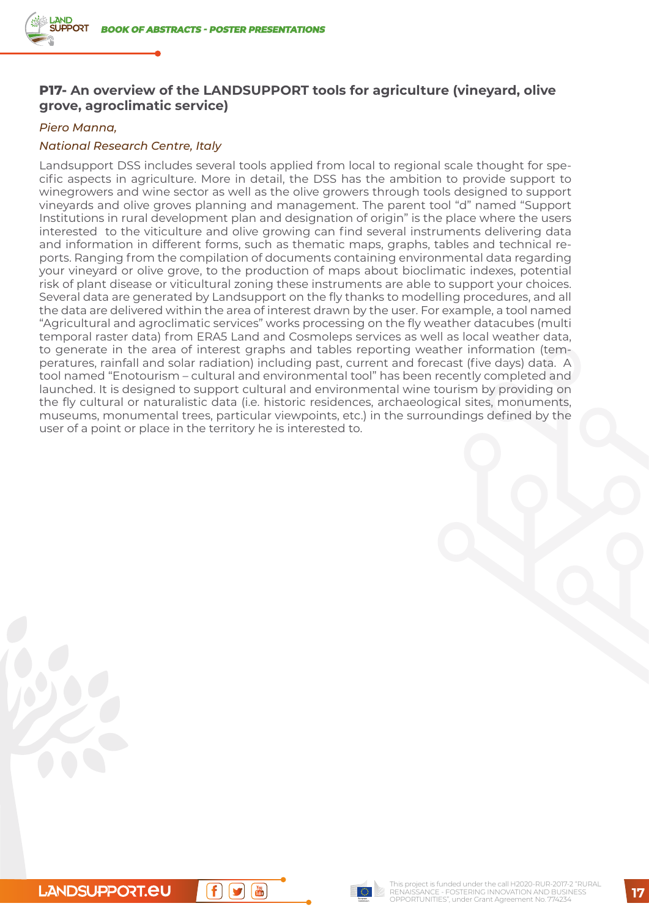# **P17- An overview of the LANDSUPPORT tools for agriculture (vineyard, olive grove, agroclimatic service)**

### *Piero Manna,*

### *National Research Centre, Italy*

Landsupport DSS includes several tools applied from local to regional scale thought for specific aspects in agriculture. More in detail, the DSS has the ambition to provide support to winegrowers and wine sector as well as the olive growers through tools designed to support vineyards and olive groves planning and management. The parent tool "d" named "Support Institutions in rural development plan and designation of origin" is the place where the users interested to the viticulture and olive growing can find several instruments delivering data and information in different forms, such as thematic maps, graphs, tables and technical reports. Ranging from the compilation of documents containing environmental data regarding your vineyard or olive grove, to the production of maps about bioclimatic indexes, potential risk of plant disease or viticultural zoning these instruments are able to support your choices. Several data are generated by Landsupport on the fly thanks to modelling procedures, and all the data are delivered within the area of interest drawn by the user. For example, a tool named "Agricultural and agroclimatic services" works processing on the fly weather datacubes (multi temporal raster data) from ERA5 Land and Cosmoleps services as well as local weather data, to generate in the area of interest graphs and tables reporting weather information (temperatures, rainfall and solar radiation) including past, current and forecast (five days) data. A tool named "Enotourism – cultural and environmental tool" has been recently completed and launched. It is designed to support cultural and environmental wine tourism by providing on the fly cultural or naturalistic data (i.e. historic residences, archaeological sites, monuments, museums, monumental trees, particular viewpoints, etc.) in the surroundings defined by the user of a point or place in the territory he is interested to.

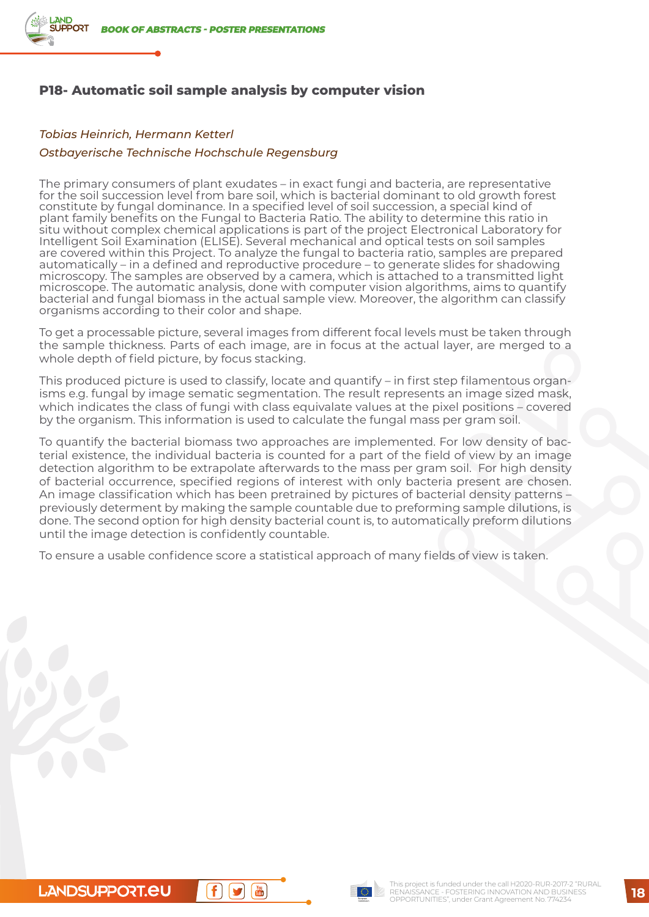

# **P18- Automatic soil sample analysis by computer vision**

### *Tobias Heinrich, Hermann Ketterl*

#### *Ostbayerische Technische Hochschule Regensburg*

The primary consumers of plant exudates – in exact fungi and bacteria, are representative for the soil succession level from bare soil, which is bacterial dominant to old growth forest constitute by fungal dominance. In a specified level of soil succession, a special kind of plant family benefits on the Fungal to Bacteria Ratio. The ability to determine this ratio in situ without complex chemical applications is part of the project Electronical Laboratory for Intelligent Soil Examination (ELISE). Several mechanical and optical tests on soil samples are covered within this Project. To analyze the fungal to bacteria ratio, samples are prepared automatically – in a defined and reproductive procedure – to generate slides for shadowing microscopy. The samples are observed by a camera, which is attached to a transmitted light microscope. The automatic analysis, done with computer vision algorithms, aims to quantify bacterial and fungal biomass in the actual sample view. Moreover, the algorithm can classify organisms according to their color and shape.

To get a processable picture, several images from different focal levels must be taken through the sample thickness. Parts of each image, are in focus at the actual layer, are merged to a whole depth of field picture, by focus stacking.

This produced picture is used to classify, locate and quantify – in first step filamentous organisms e.g. fungal by image sematic segmentation. The result represents an image sized mask, which indicates the class of fungi with class equivalate values at the pixel positions – covered by the organism. This information is used to calculate the fungal mass per gram soil.

To quantify the bacterial biomass two approaches are implemented. For low density of bacterial existence, the individual bacteria is counted for a part of the field of view by an image detection algorithm to be extrapolate afterwards to the mass per gram soil. For high density of bacterial occurrence, specified regions of interest with only bacteria present are chosen. An image classification which has been pretrained by pictures of bacterial density patterns – previously determent by making the sample countable due to preforming sample dilutions, is done. The second option for high density bacterial count is, to automatically preform dilutions until the image detection is confidently countable.

To ensure a usable confidence score a statistical approach of many fields of view is taken.

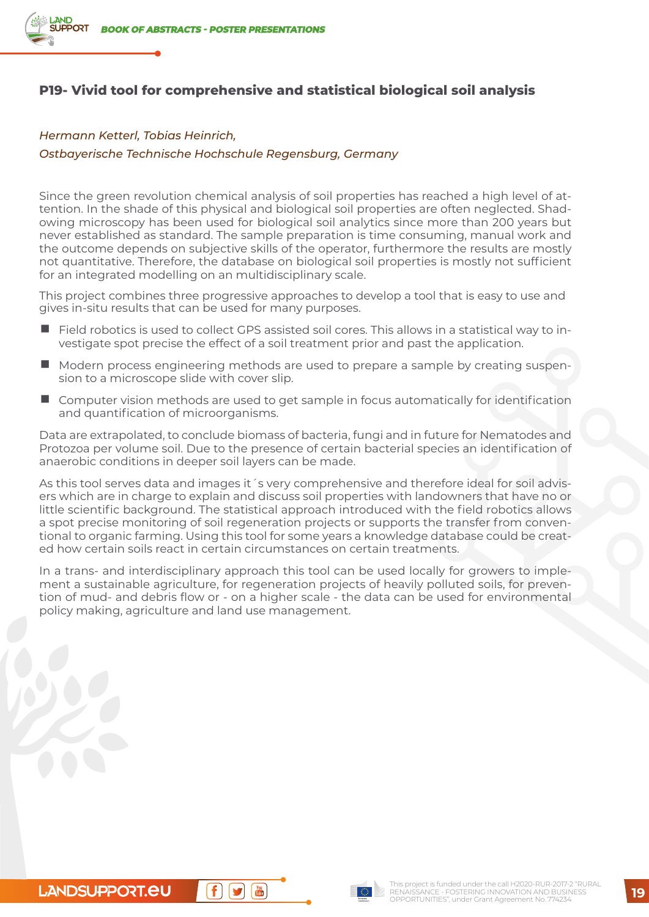

# **P19- Vivid tool for comprehensive and statistical biological soil analysis**

#### *Hermann Ketterl, Tobias Heinrich,*

#### *Ostbayerische Technische Hochschule Regensburg, Germany*

Since the green revolution chemical analysis of soil properties has reached a high level of attention. In the shade of this physical and biological soil properties are often neglected. Shadowing microscopy has been used for biological soil analytics since more than 200 years but never established as standard. The sample preparation is time consuming, manual work and the outcome depends on subjective skills of the operator, furthermore the results are mostly not quantitative. Therefore, the database on biological soil properties is mostly not sufficient for an integrated modelling on an multidisciplinary scale.

This project combines three progressive approaches to develop a tool that is easy to use and gives in-situ results that can be used for many purposes.

- Field robotics is used to collect GPS assisted soil cores. This allows in a statistical way to investigate spot precise the effect of a soil treatment prior and past the application.
- Modern process engineering methods are used to prepare a sample by creating suspension to a microscope slide with cover slip.
- Computer vision methods are used to get sample in focus automatically for identification and quantification of microorganisms.

Data are extrapolated, to conclude biomass of bacteria, fungi and in future for Nematodes and Protozoa per volume soil. Due to the presence of certain bacterial species an identification of anaerobic conditions in deeper soil layers can be made.

As this tool serves data and images it 's very comprehensive and therefore ideal for soil advisers which are in charge to explain and discuss soil properties with landowners that have no or little scientific background. The statistical approach introduced with the field robotics allows a spot precise monitoring of soil regeneration projects or supports the transfer from conventional to organic farming. Using this tool for some years a knowledge database could be created how certain soils react in certain circumstances on certain treatments.

In a trans- and interdisciplinary approach this tool can be used locally for growers to implement a sustainable agriculture, for regeneration projects of heavily polluted soils, for prevention of mud- and debris flow or - on a higher scale - the data can be used for environmental policy making, agriculture and land use management.

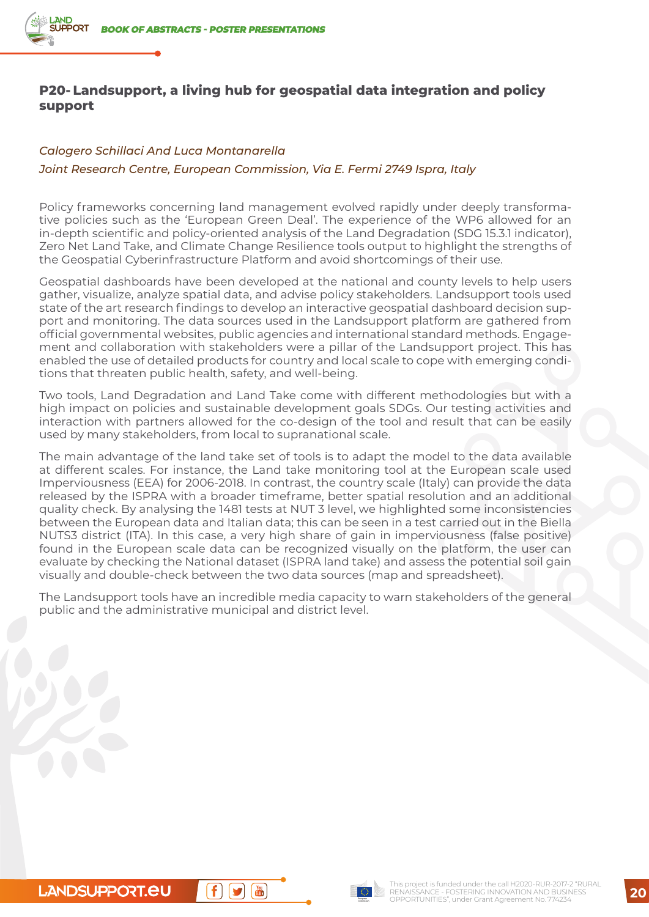# **P20- Landsupport, a living hub for geospatial data integration and policy support**

### *Calogero Schillaci And Luca Montanarella*

#### *Joint Research Centre, European Commission, Via E. Fermi 2749 Ispra, Italy*

Policy frameworks concerning land management evolved rapidly under deeply transformative policies such as the 'European Green Deal'. The experience of the WP6 allowed for an in-depth scientific and policy-oriented analysis of the Land Degradation (SDG 15.3.1 indicator), Zero Net Land Take, and Climate Change Resilience tools output to highlight the strengths of the Geospatial Cyberinfrastructure Platform and avoid shortcomings of their use.

Geospatial dashboards have been developed at the national and county levels to help users gather, visualize, analyze spatial data, and advise policy stakeholders. Landsupport tools used state of the art research findings to develop an interactive geospatial dashboard decision support and monitoring. The data sources used in the Landsupport platform are gathered from official governmental websites, public agencies and international standard methods. Engagement and collaboration with stakeholders were a pillar of the Landsupport project. This has enabled the use of detailed products for country and local scale to cope with emerging conditions that threaten public health, safety, and well-being.

Two tools, Land Degradation and Land Take come with different methodologies but with a high impact on policies and sustainable development goals SDGs. Our testing activities and interaction with partners allowed for the co-design of the tool and result that can be easily used by many stakeholders, from local to supranational scale.

The main advantage of the land take set of tools is to adapt the model to the data available at different scales. For instance, the Land take monitoring tool at the European scale used Imperviousness (EEA) for 2006-2018. In contrast, the country scale (Italy) can provide the data released by the ISPRA with a broader timeframe, better spatial resolution and an additional quality check. By analysing the 1481 tests at NUT 3 level, we highlighted some inconsistencies between the European data and Italian data; this can be seen in a test carried out in the Biella NUTS3 district (ITA). In this case, a very high share of gain in imperviousness (false positive) found in the European scale data can be recognized visually on the platform, the user can evaluate by checking the National dataset (ISPRA land take) and assess the potential soil gain visually and double-check between the two data sources (map and spreadsheet).

The Landsupport tools have an incredible media capacity to warn stakeholders of the general public and the administrative municipal and district level.

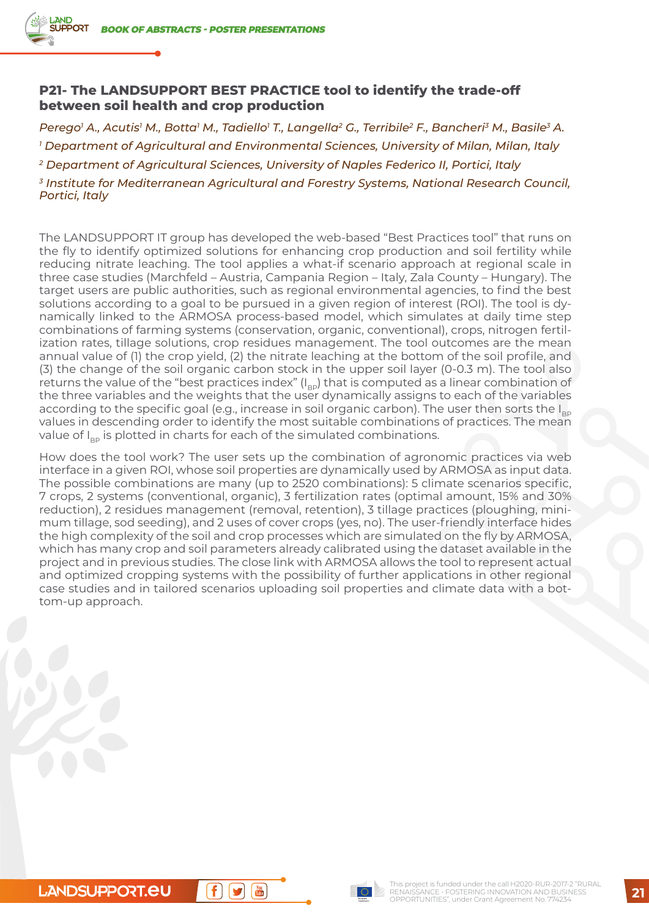## **P21- The LANDSUPPORT BEST PRACTICE tool to identify the trade-off between soil health and crop production**

*Perego1 A., Acutis1 M., Botta1 M., Tadiello1 T., Langella2 G., Terribile2 F., Bancheri3 M., Basile3 A. 1 Department of Agricultural and Environmental Sciences, University of Milan, Milan, Italy*

*2 Department of Agricultural Sciences, University of Naples Federico II, Portici, Italy*

*3 Institute for Mediterranean Agricultural and Forestry Systems, National Research Council, Portici, Italy*

The LANDSUPPORT IT group has developed the web-based "Best Practices tool" that runs on the fly to identify optimized solutions for enhancing crop production and soil fertility while reducing nitrate leaching. The tool applies a what-if scenario approach at regional scale in three case studies (Marchfeld – Austria, Campania Region – Italy, Zala County – Hungary). The target users are public authorities, such as regional environmental agencies, to find the best solutions according to a goal to be pursued in a given region of interest (ROI). The tool is dynamically linked to the ARMOSA process-based model, which simulates at daily time step combinations of farming systems (conservation, organic, conventional), crops, nitrogen fertilization rates, tillage solutions, crop residues management. The tool outcomes are the mean annual value of (1) the crop yield, (2) the nitrate leaching at the bottom of the soil profile, and (3) the change of the soil organic carbon stock in the upper soil layer (0-0.3 m). The tool also returns the value of the "best practices index"  $(I_{BD})$  that is computed as a linear combination of the three variables and the weights that the user dynamically assigns to each of the variables according to the specific goal (e.g., increase in soil organic carbon). The user then sorts the  $I_{BD}$ values in descending order to identify the most suitable combinations of practices. The mean value of  $I_{\text{p}}$  is plotted in charts for each of the simulated combinations.

How does the tool work? The user sets up the combination of agronomic practices via web interface in a given ROI, whose soil properties are dynamically used by ARMOSA as input data. The possible combinations are many (up to 2520 combinations): 5 climate scenarios specific, 7 crops, 2 systems (conventional, organic), 3 fertilization rates (optimal amount, 15% and 30% reduction), 2 residues management (removal, retention), 3 tillage practices (ploughing, minimum tillage, sod seeding), and 2 uses of cover crops (yes, no). The user-friendly interface hides the high complexity of the soil and crop processes which are simulated on the fly by ARMOSA, which has many crop and soil parameters already calibrated using the dataset available in the project and in previous studies. The close link with ARMOSA allows the tool to represent actual and optimized cropping systems with the possibility of further applications in other regional case studies and in tailored scenarios uploading soil properties and climate data with a bottom-up approach.

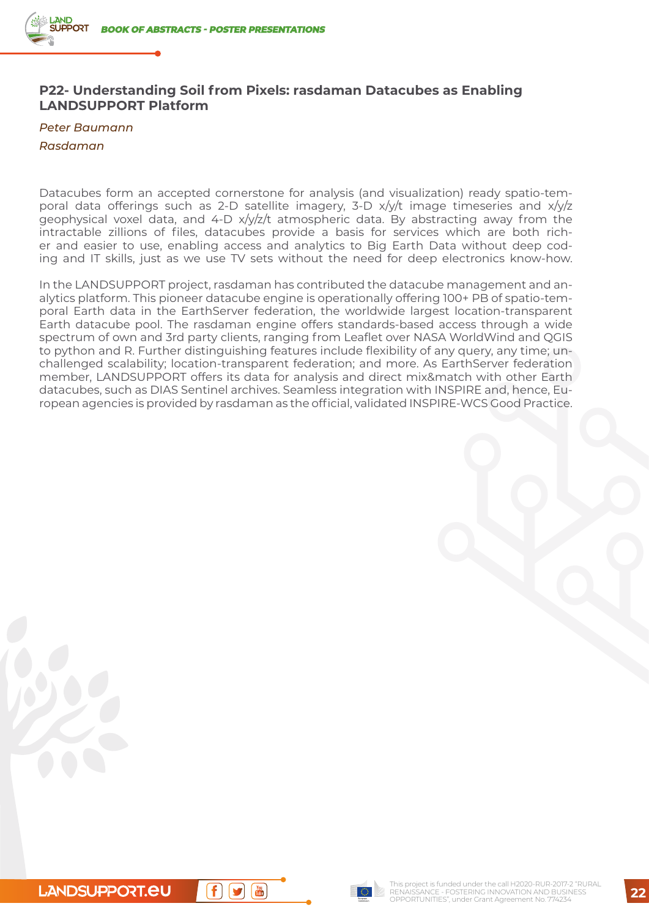## **P22- Understanding Soil from Pixels: rasdaman Datacubes as Enabling LANDSUPPORT Platform**

*Peter Baumann*

#### *Rasdaman*

Datacubes form an accepted cornerstone for analysis (and visualization) ready spatio-temporal data offerings such as 2-D satellite imagery, 3-D x/y/t image timeseries and x/y/z geophysical voxel data, and  $4-D \frac{x}{yz/t}$  atmospheric data. By abstracting away from the intractable zillions of files, datacubes provide a basis for services which are both richer and easier to use, enabling access and analytics to Big Earth Data without deep coding and IT skills, just as we use TV sets without the need for deep electronics know-how.

In the LANDSUPPORT project, rasdaman has contributed the datacube management and analytics platform. This pioneer datacube engine is operationally offering 100+ PB of spatio-temporal Earth data in the EarthServer federation, the worldwide largest location-transparent Earth datacube pool. The rasdaman engine offers standards-based access through a wide spectrum of own and 3rd party clients, ranging from Leaflet over NASA WorldWind and QGIS to python and R. Further distinguishing features include flexibility of any query, any time; unchallenged scalability; location-transparent federation; and more. As EarthServer federation member, LANDSUPPORT offers its data for analysis and direct mix&match with other Earth datacubes, such as DIAS Sentinel archives. Seamless integration with INSPIRE and, hence, European agencies is provided by rasdaman as the official, validated INSPIRE-WCS Good Practice.

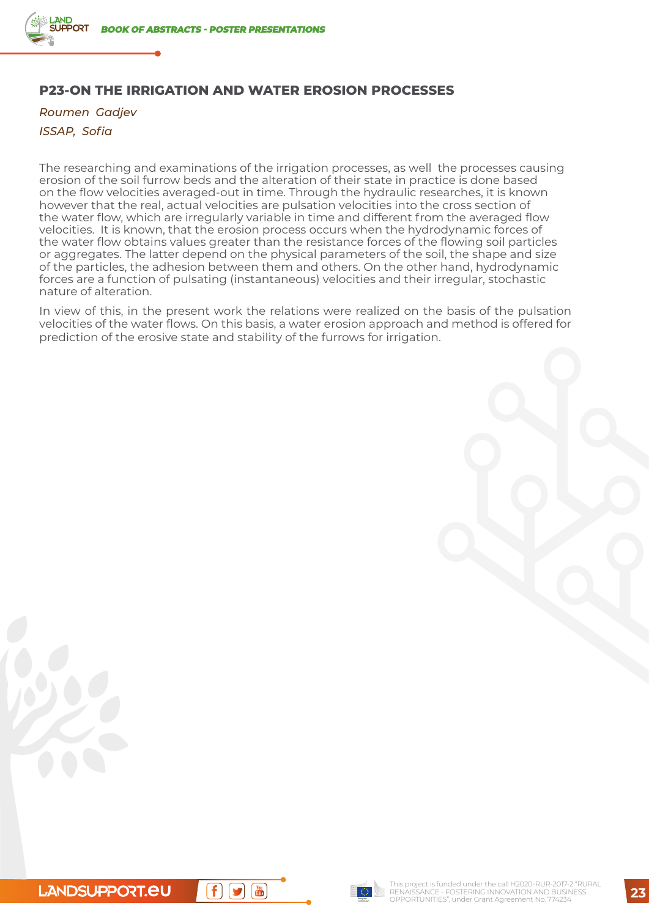# **P23-ON THE IRRIGATION AND WATER EROSION PROCESSES**

*Roumen Gadjev ISSAP, Sofia*

The researching and examinations of the irrigation processes, as well the processes causing erosion of the soil furrow beds and the alteration of their state in practice is done based on the flow velocities averaged-out in time. Through the hydraulic researches, it is known however that the real, actual velocities are pulsation velocities into the cross section of the water flow, which are irregularly variable in time and different from the averaged flow velocities. It is known, that the erosion process occurs when the hydrodynamic forces of the water flow obtains values greater than the resistance forces of the flowing soil particles or aggregates. The latter depend on the physical parameters of the soil, the shape and size of the particles, the adhesion between them and others. On the other hand, hydrodynamic forces are a function of pulsating (instantaneous) velocities and their irregular, stochastic nature of alteration.

In view of this, in the present work the relations were realized on the basis of the pulsation velocities of the water flows. On this basis, a water erosion approach and method is offered for prediction of the erosive state and stability of the furrows for irrigation.



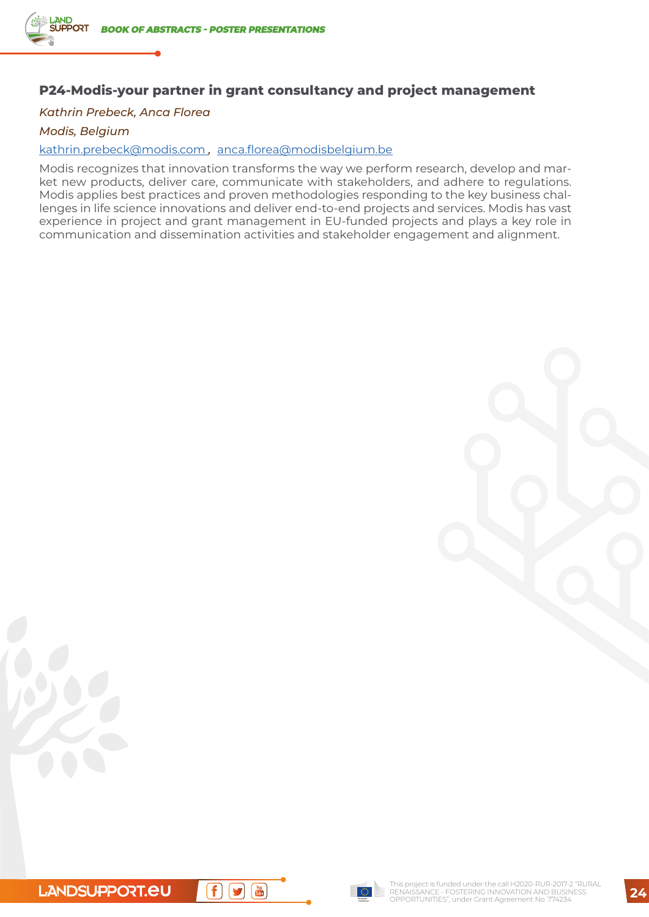# **P24-Modis-your partner in grant consultancy and project management**

### *Kathrin Prebeck, Anca Florea*

*Modis, Belgium*

#### [kathrin.prebeck@modis.com](mailto:kathrin.prebeck@modis.com) *,* [anca.florea@modisbelgium.be](mailto:nca.florea@modisbelgium.be)

Modis recognizes that innovation transforms the way we perform research, develop and market new products, deliver care, communicate with stakeholders, and adhere to regulations. Modis applies best practices and proven methodologies responding to the key business challenges in life science innovations and deliver end-to-end projects and services. Modis has vast experience in project and grant management in EU-funded projects and plays a key role in communication and dissemination activities and stakeholder engagement and alignment.